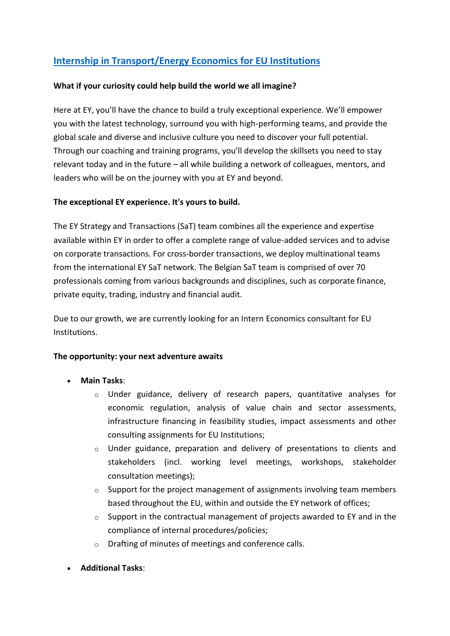# **[Internship in Transport/Energy Economics for EU Institutions](https://eyglobal.yello.co/jobs/5-5JGz7sD45l9SAZOrxltQ)**

### **What if your curiosity could help build the world we all imagine?**

Here at EY, you'll have the chance to build a truly exceptional experience. We'll empower you with the latest technology, surround you with high-performing teams, and provide the global scale and diverse and inclusive culture you need to discover your full potential. Through our coaching and training programs, you'll develop the skillsets you need to stay relevant today and in the future – all while building a network of colleagues, mentors, and leaders who will be on the journey with you at EY and beyond.

## **The exceptional EY experience. It's yours to build.**

The EY Strategy and Transactions (SaT) team combines all the experience and expertise available within EY in order to offer a complete range of value-added services and to advise on corporate transactions. For cross-border transactions, we deploy multinational teams from the international EY SaT network. The Belgian SaT team is comprised of over 70 professionals coming from various backgrounds and disciplines, such as corporate finance, private equity, trading, industry and financial audit.

Due to our growth, we are currently looking for an Intern Economics consultant for EU Institutions.

#### **The opportunity: your next adventure awaits**

- **Main Tasks**:
	- $\circ$  Under guidance, delivery of research papers, quantitative analyses for economic regulation, analysis of value chain and sector assessments, infrastructure financing in feasibility studies, impact assessments and other consulting assignments for EU Institutions;
	- $\circ$  Under guidance, preparation and delivery of presentations to clients and stakeholders (incl. working level meetings, workshops, stakeholder consultation meetings);
	- $\circ$  Support for the project management of assignments involving team members based throughout the EU, within and outside the EY network of offices;
	- $\circ$  Support in the contractual management of projects awarded to EY and in the compliance of internal procedures/policies;
	- o Drafting of minutes of meetings and conference calls.
- **Additional Tasks**: